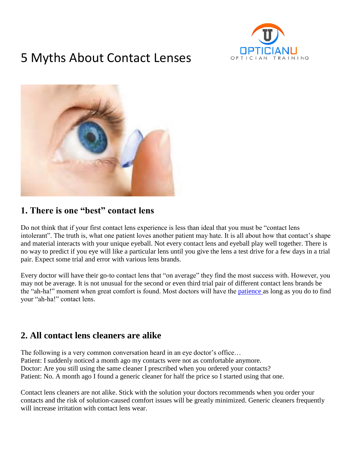

# 5 Myths About Contact Lenses



### **1. There is one "best" contact lens**

Do not think that if your first contact lens experience is less than ideal that you must be "contact lens intolerant". The truth is, what one patient loves another patient may hate. It is all about how that contact's shape and material interacts with your unique eyeball. Not every contact lens and eyeball play well together. There is no way to predict if you eye will like a particular lens until you give the lens a test drive for a few days in a trial pair. Expect some trial and error with various lens brands.

Every doctor will have their go-to contact lens that "on average" they find the most success with. However, you may not be average. It is not unusual for the second or even third trial pair of different contact lens brands be the "ah-ha!" moment when great comfort is found. Most doctors will have the [patience a](https://www.opticiantraining.com/staff-know-importance-compassion/)s long as you do to find your "ah-ha!" contact lens.

#### **2. All contact lens cleaners are alike**

The following is a very common conversation heard in an eye doctor's office… Patient: I suddenly noticed a month ago my contacts were not as comfortable anymore. Doctor: Are you still using the same cleaner I prescribed when you ordered your contacts? Patient: No. A month ago I found a generic cleaner for half the price so I started using that one.

Contact lens cleaners are not alike. Stick with the solution your doctors recommends when you order your contacts and the risk of solution-caused comfort issues will be greatly minimized. Generic cleaners frequently will increase irritation with contact lens wear.